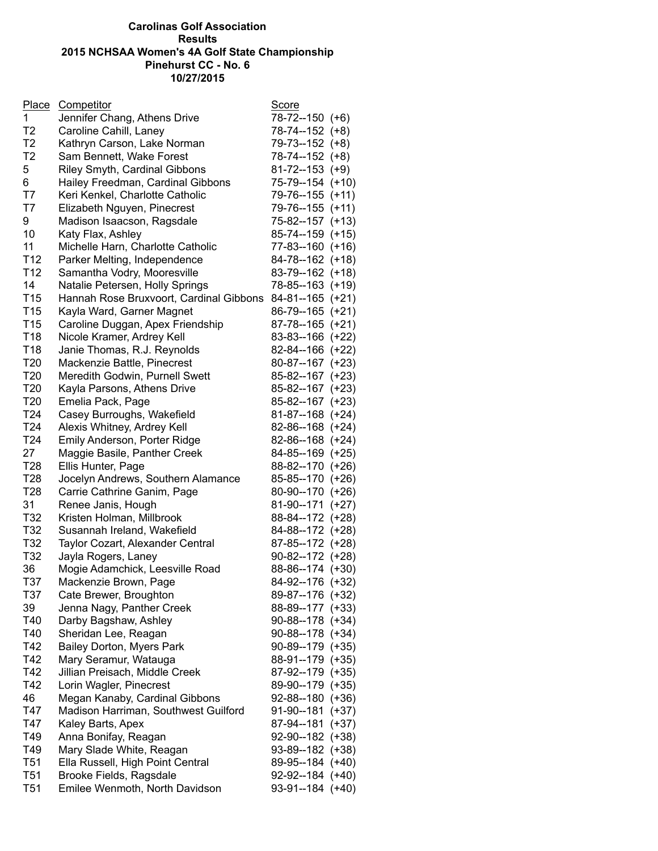## **Carolinas Golf Association Results 2015 NCHSAA Women's 4A Golf State Championship Pinehurst CC - No. 6 10/27/2015**

| Place           | <b>Competitor</b>                       | <b>Score</b>          |  |
|-----------------|-----------------------------------------|-----------------------|--|
| $\mathbf{1}$    | Jennifer Chang, Athens Drive            | 78-72--150 (+6)       |  |
| T2              | Caroline Cahill, Laney                  | 78-74--152 (+8)       |  |
| T <sub>2</sub>  | Kathryn Carson, Lake Norman             | 79-73--152 (+8)       |  |
| T2              | Sam Bennett, Wake Forest                | 78-74--152 (+8)       |  |
| 5               | <b>Riley Smyth, Cardinal Gibbons</b>    | $81 - 72 - 153$ (+9)  |  |
| 6               | Hailey Freedman, Cardinal Gibbons       | 75-79--154 (+10)      |  |
| T7              | Keri Kenkel, Charlotte Catholic         | 79-76--155 (+11)      |  |
| T7              | Elizabeth Nguyen, Pinecrest             | 79-76--155 (+11)      |  |
| 9               | Madison Isaacson, Ragsdale              | 75-82--157 (+13)      |  |
| 10              | Katy Flax, Ashley                       | 85-74--159 (+15)      |  |
| 11              | Michelle Harn, Charlotte Catholic       | 77-83--160 (+16)      |  |
| T <sub>12</sub> | Parker Melting, Independence            | 84-78--162 (+18)      |  |
| T <sub>12</sub> | Samantha Vodry, Mooresville             | 83-79--162 (+18)      |  |
| 14              | Natalie Petersen, Holly Springs         | 78-85--163 (+19)      |  |
| T <sub>15</sub> | Hannah Rose Bruxvoort, Cardinal Gibbons | $84 - 81 - 165$ (+21) |  |
| T <sub>15</sub> | Kayla Ward, Garner Magnet               | 86-79--165 (+21)      |  |
| T <sub>15</sub> | Caroline Duggan, Apex Friendship        | 87-78--165 (+21)      |  |
| T18             | Nicole Kramer, Ardrey Kell              | 83-83--166 (+22)      |  |
| T18             | Janie Thomas, R.J. Reynolds             | 82-84--166 (+22)      |  |
| T <sub>20</sub> | Mackenzie Battle, Pinecrest             | 80-87--167 (+23)      |  |
| T <sub>20</sub> | Meredith Godwin, Purnell Swett          | 85-82--167 (+23)      |  |
| T <sub>20</sub> | Kayla Parsons, Athens Drive             | 85-82--167 (+23)      |  |
| T <sub>20</sub> | Emelia Pack, Page                       | 85-82--167 (+23)      |  |
| T24             | Casey Burroughs, Wakefield              | 81-87--168 (+24)      |  |
| T <sub>24</sub> | Alexis Whitney, Ardrey Kell             | 82-86--168 (+24)      |  |
| T <sub>24</sub> | Emily Anderson, Porter Ridge            | 82-86--168 (+24)      |  |
| 27              | Maggie Basile, Panther Creek            | 84-85--169 (+25)      |  |
| T <sub>28</sub> | Ellis Hunter, Page                      | 88-82--170 (+26)      |  |
| T <sub>28</sub> | Jocelyn Andrews, Southern Alamance      | 85-85--170 (+26)      |  |
| T <sub>28</sub> | Carrie Cathrine Ganim, Page             | 80-90--170 (+26)      |  |
| 31              | Renee Janis, Hough                      | 81-90--171 (+27)      |  |
| T32             | Kristen Holman, Millbrook               | 88-84--172 (+28)      |  |
| T32             | Susannah Ireland, Wakefield             | 84-88--172 (+28)      |  |
| T32             | Taylor Cozart, Alexander Central        | 87-85--172 (+28)      |  |
| T32             | Jayla Rogers, Laney                     | $90-82-172 (+28)$     |  |
| 36              | Mogie Adamchick, Leesville Road         | 88-86--174 (+30)      |  |
| T37             | Mackenzie Brown, Page                   | 84-92--176 (+32)      |  |
| T37             | Cate Brewer, Broughton                  | 89-87--176 (+32)      |  |
| 39              | Jenna Nagy, Panther Creek               | 88-89--177 (+33)      |  |
| T40             | Darby Bagshaw, Ashley                   | $90-88-178 (+34)$     |  |
| T40             | Sheridan Lee, Reagan                    | 90-88--178 (+34)      |  |
| T42             | Bailey Dorton, Myers Park               | 90-89--179 (+35)      |  |
| T42             | Mary Seramur, Watauga                   | 88-91--179 (+35)      |  |
| T42             | Jillian Preisach, Middle Creek          | 87-92--179 (+35)      |  |
| T42             | Lorin Wagler, Pinecrest                 | 89-90--179 (+35)      |  |
| 46              | Megan Kanaby, Cardinal Gibbons          | $92 - 88 - 180$ (+36) |  |
| T47             | Madison Harriman, Southwest Guilford    | $91-90-181$ (+37)     |  |
| T47             | Kaley Barts, Apex                       | 87-94--181 (+37)      |  |
| T49             | Anna Bonifay, Reagan                    | 92-90--182 (+38)      |  |
| T49             | Mary Slade White, Reagan                | 93-89--182 (+38)      |  |
| T <sub>51</sub> | Ella Russell, High Point Central        | 89-95--184 (+40)      |  |
| T <sub>51</sub> | Brooke Fields, Ragsdale                 | $92-92-184$ (+40)     |  |
| T <sub>51</sub> | Emilee Wenmoth, North Davidson          | 93-91--184 (+40)      |  |